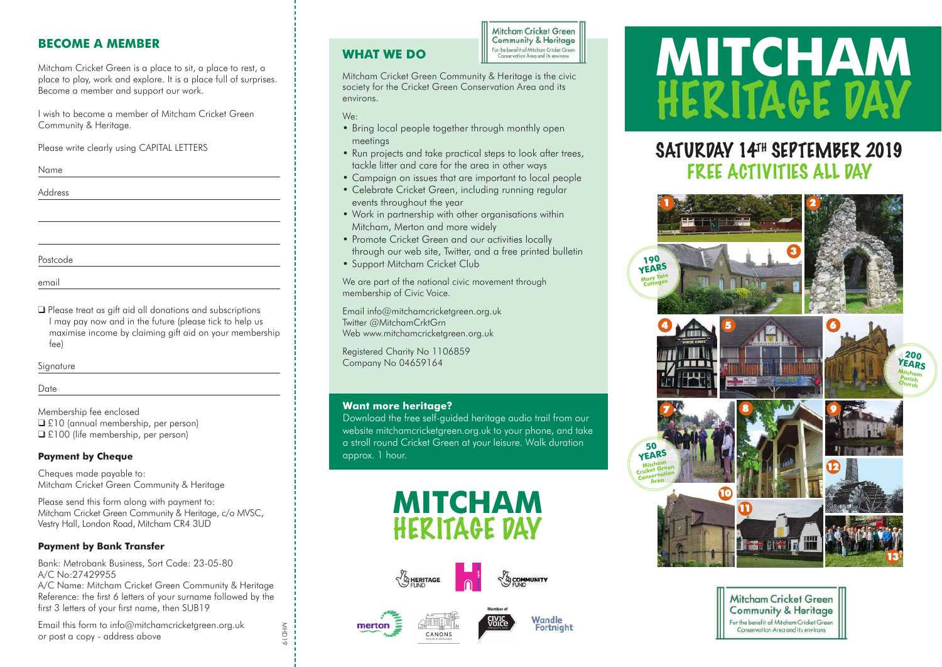# **BECOME A MEMBER**

Mitcham Cricket Green is a place to sit, a place to rest, a place to play, work and explore. It is a place full of surprises. Become a member and support our work.

I wish to become a member of Mitcham Cricket Green Community & Heritage.

Please write clearly using CAPITAL LETTERS

Name

Address

Postcode

email

❑ Please treat as gift aid all donations and subscriptions I may pay now and in the future (please tick to help us maximise income by claiming gift aid on your membership fee)

Signature

Date

Membership fee enclosed ❑ £10 (annual membership, per person) ❑ £100 (life membership, per person)

# **Payment by Cheque**

Cheques made payable to: Mitcham Cricket Green Community & Heritage

Please send this form along with payment to: Mitcham Cricket Green Community & Heritage, c/o MVSC, Vestry Hall, London Road, Mitcham CR4 3UD

# **Payment by Bank Transfer**

Bank: Metrobank Business, Sort Code: 23-05-80 A/C No:27429955

A/C Name: Mitcham Cricket Green Community & Heritage Reference: the first 6 letters of your surname followed by the first 3 letters of your first name, then SUB19

Email this form to info@mitchamcricketgreen.org.uk or post a copy - address above

**WHAT WE DO**

**Mitcham Cricket Green Community & Heritage** For the benefit of Mitcham Cricket Green Conservation Area and its environ

Mitcham Cricket Green Community & Heritage is the civic society for the Cricket Green Conservation Area and its environs.

We:

- Bring local people together through monthly open meetings
- Run projects and take practical steps to look after trees, tackle litter and care for the area in other ways
- Campaign on issues that are important to local people
- Celebrate Cricket Green, including running regular events throughout the year
- Work in partnership with other organisations within Mitcham, Merton and more widely
- Promote Cricket Green and our activities locally through our web site, Twitter, and a free printed bulletin
- Support Mitcham Cricket Club

We are part of the national civic movement through membership of Civic Voice.

Email info@mitchamcricketgreen.org.uk Twitter @MitchamCrktGrn Web www.mitchamcricketgreen.org.uk

Registered Charity No 1106859 Company No 04659164

### **Want more heritage?**

Download the free self-guided heritage audio trail from our website mitchamcricketgreen.org.uk to your phone, and take a stroll round Cricket Green at your leisure. Walk duration approx. 1 hour.







Wandle

Fortnight





# SATURDAY 14TH SEPTEMBER 2019 FREE ACTIVITIES ALL DAY





MHD19